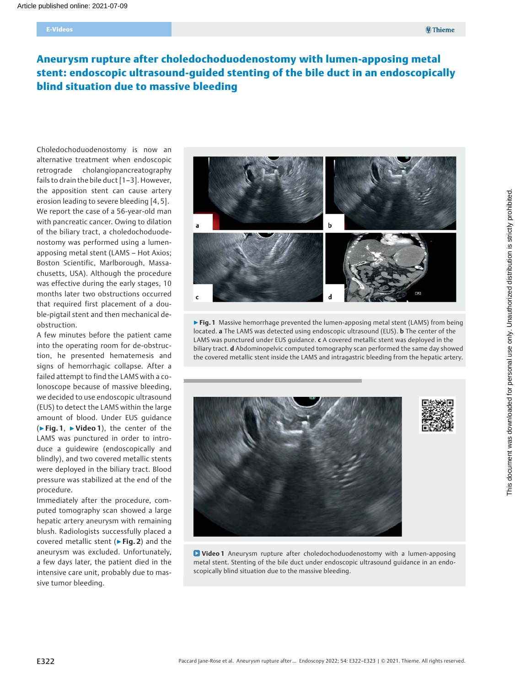# Aneurysm rupture after choledochoduodenostomy with lumen-apposing metal stent: endoscopic ultrasound-guided stenting of the bile duct in an endoscopically blind situation due to massive bleeding

Choledochoduodenostomy is now an alternative treatment when endoscopic retrograde cholangiopancreatography fails to drain the bile duct [1–3]. However, the apposition stent can cause artery erosion leading to severe bleeding [4, 5]. We report the case of a 56-year-old man with pancreatic cancer. Owing to dilation of the biliary tract, a choledochoduodenostomy was performed using a lumenapposing metal stent (LAMS – Hot Axios; Boston Scientific, Marlborough, Massachusetts, USA). Although the procedure was effective during the early stages, 10 months later two obstructions occurred that required first placement of a double-pigtail stent and then mechanical deobstruction.

A few minutes before the patient came into the operating room for de-obstruction, he presented hematemesis and signs of hemorrhagic collapse. After a failed attempt to find the LAMS with a colonoscope because of massive bleeding, we decided to use endoscopic ultrasound (EUS) to detect the LAMS within the large amount of blood. Under EUS guidance (▶Fig. 1, ▶Video 1), the center of the LAMS was punctured in order to introduce a guidewire (endoscopically and blindly), and two covered metallic stents were deployed in the biliary tract. Blood pressure was stabilized at the end of the procedure.

Immediately after the procedure, computed tomography scan showed a large hepatic artery aneurysm with remaining blush. Radiologists successfully placed a covered metallic stent ( $\triangleright$  Fig. 2) and the aneurysm was excluded. Unfortunately, a few days later, the patient died in the intensive care unit, probably due to massive tumor bleeding.



▶ Fig. 1 Massive hemorrhage prevented the lumen-apposing metal stent (LAMS) from being located. a The LAMS was detected using endoscopic ultrasound (EUS). **b** The center of the LAMS was punctured under EUS guidance. c A covered metallic stent was deployed in the biliary tract. d Abdominopelvic computed tomography scan performed the same day showed the covered metallic stent inside the LAMS and intragastric bleeding from the hepatic artery.



**D** Video 1 Aneurysm rupture after choledochoduodenostomy with a lumen-apposing metal stent. Stenting of the bile duct under endoscopic ultrasound guidance in an endoscopically blind situation due to the massive bleeding.